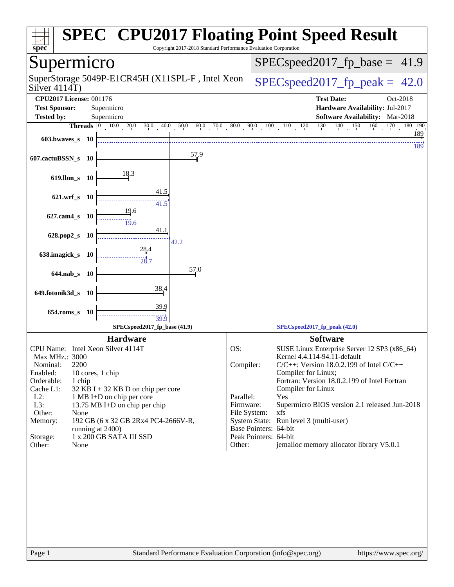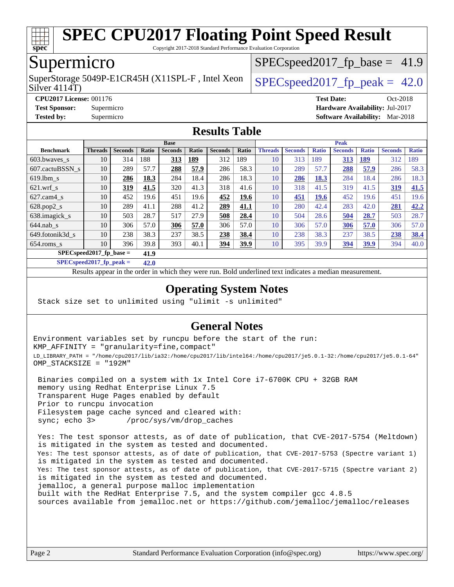

Copyright 2017-2018 Standard Performance Evaluation Corporation

### Supermicro

Silver 4114T) SuperStorage 5049P-E1CR45H (X11SPL-F, Intel Xeon  $\big|$  SPECspeed2017 fp\_peak = 42.0

 $SPECspeed2017<sub>fp</sub> base = 41.9$ 

**[CPU2017 License:](http://www.spec.org/auto/cpu2017/Docs/result-fields.html#CPU2017License)** 001176 **[Test Date:](http://www.spec.org/auto/cpu2017/Docs/result-fields.html#TestDate)** Oct-2018 **[Test Sponsor:](http://www.spec.org/auto/cpu2017/Docs/result-fields.html#TestSponsor)** Supermicro **[Hardware Availability:](http://www.spec.org/auto/cpu2017/Docs/result-fields.html#HardwareAvailability)** Jul-2017 **[Tested by:](http://www.spec.org/auto/cpu2017/Docs/result-fields.html#Testedby)** Supermicro **[Software Availability:](http://www.spec.org/auto/cpu2017/Docs/result-fields.html#SoftwareAvailability)** Mar-2018

### **[Results Table](http://www.spec.org/auto/cpu2017/Docs/result-fields.html#ResultsTable)**

|                            | <b>Base</b>    |                |       |                |             |                |       | <b>Peak</b>    |                |              |                |              |                |              |
|----------------------------|----------------|----------------|-------|----------------|-------------|----------------|-------|----------------|----------------|--------------|----------------|--------------|----------------|--------------|
| <b>Benchmark</b>           | <b>Threads</b> | <b>Seconds</b> | Ratio | <b>Seconds</b> | Ratio       | <b>Seconds</b> | Ratio | <b>Threads</b> | <b>Seconds</b> | <b>Ratio</b> | <b>Seconds</b> | <b>Ratio</b> | <b>Seconds</b> | <b>Ratio</b> |
| $603.bwaves$ s             | 10             | 314            | 188   | 313            | <u> 189</u> | 312            | 189   | 10             | 313            | 189          | 313            | <u>189</u>   | 312            | 189          |
| 607.cactuBSSN s            | 10             | 289            | 57.7  | 288            | 57.9        | 286            | 58.3  | 10             | 289            | 57.7         | 288            | 57.9         | 286            | 58.3         |
| $619.1$ bm s               | 10             | 286            | 18.3  | 284            | 18.4        | 286            | 18.3  | 10             | 286            | 18.3         | 284            | 18.4         | 286            | 18.3         |
| $621$ .wrf s               | 10             | 319            | 41.5  | 320            | 41.3        | 318            | 41.6  | 10             | 318            | 41.5         | 319            | 41.5         | 319            | 41.5         |
| $627$ .cam $4 \text{ s}$   | 10             | 452            | 19.6  | 451            | 19.6        | 452            | 19.6  | 10             | 451            | <b>19.6</b>  | 452            | 19.6         | 451            | 19.6         |
| $628.pop2_s$               | 10             | 289            | 41.1  | 288            | 41.2        | 289            | 41.1  | 10             | 280            | 42.4         | 283            | 42.0         | 281            | 42.2         |
| 638.imagick_s              | 10             | 503            | 28.7  | 517            | 27.9        | 508            | 28.4  | 10             | 504            | 28.6         | 504            | 28.7         | 503            | 28.7         |
| $644$ .nab s               | 10             | 306            | 57.0  | 306            | 57.0        | 306            | 57.0  | 10             | 306            | 57.0         | 306            | 57.0         | 306            | 57.0         |
| 649.fotonik3d s            | 10             | 238            | 38.3  | 237            | 38.5        | 238            | 38.4  | 10             | 238            | 38.3         | 237            | 38.5         | 238            | 38.4         |
| $654$ .roms s              | 10             | 396            | 39.8  | 393            | 40.1        | 394            | 39.9  | 10             | 395            | 39.9         | 394            | 39.9         | 394            | 40.0         |
| $SPECspeed2017_fp\_base =$ |                |                | 41.9  |                |             |                |       |                |                |              |                |              |                |              |

**[SPECspeed2017\\_fp\\_peak =](http://www.spec.org/auto/cpu2017/Docs/result-fields.html#SPECspeed2017fppeak) 42.0**

Results appear in the [order in which they were run.](http://www.spec.org/auto/cpu2017/Docs/result-fields.html#RunOrder) Bold underlined text [indicates a median measurement](http://www.spec.org/auto/cpu2017/Docs/result-fields.html#Median).

### **[Operating System Notes](http://www.spec.org/auto/cpu2017/Docs/result-fields.html#OperatingSystemNotes)**

Stack size set to unlimited using "ulimit -s unlimited"

### **[General Notes](http://www.spec.org/auto/cpu2017/Docs/result-fields.html#GeneralNotes)**

Environment variables set by runcpu before the start of the run: KMP\_AFFINITY = "granularity=fine,compact" LD\_LIBRARY\_PATH = "/home/cpu2017/lib/ia32:/home/cpu2017/lib/intel64:/home/cpu2017/je5.0.1-32:/home/cpu2017/je5.0.1-64" OMP\_STACKSIZE = "192M"

 Binaries compiled on a system with 1x Intel Core i7-6700K CPU + 32GB RAM memory using Redhat Enterprise Linux 7.5 Transparent Huge Pages enabled by default Prior to runcpu invocation Filesystem page cache synced and cleared with: sync; echo 3> /proc/sys/vm/drop\_caches

 Yes: The test sponsor attests, as of date of publication, that CVE-2017-5754 (Meltdown) is mitigated in the system as tested and documented. Yes: The test sponsor attests, as of date of publication, that CVE-2017-5753 (Spectre variant 1) is mitigated in the system as tested and documented. Yes: The test sponsor attests, as of date of publication, that CVE-2017-5715 (Spectre variant 2) is mitigated in the system as tested and documented. jemalloc, a general purpose malloc implementation built with the RedHat Enterprise 7.5, and the system compiler gcc 4.8.5 sources available from jemalloc.net or <https://github.com/jemalloc/jemalloc/releases>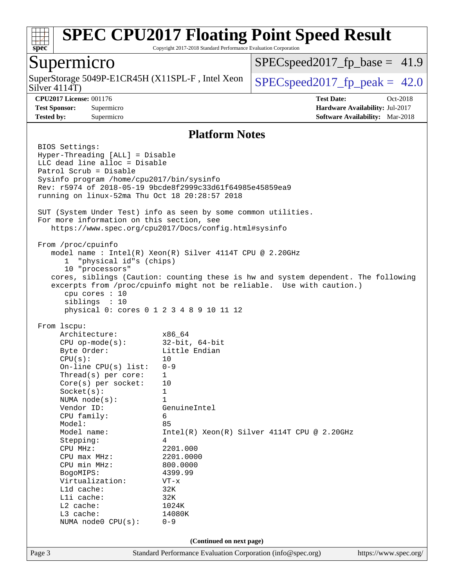

Copyright 2017-2018 Standard Performance Evaluation Corporation

### Supermicro

Silver 4114T) SuperStorage 5049P-E1CR45H (X11SPL-F, Intel Xeon  $\big|$  [SPECspeed2017\\_fp\\_peak =](http://www.spec.org/auto/cpu2017/Docs/result-fields.html#SPECspeed2017fppeak) 42.0

 $SPECspeed2017<sub>fp</sub> base = 41.9$ 

**[CPU2017 License:](http://www.spec.org/auto/cpu2017/Docs/result-fields.html#CPU2017License)** 001176 **[Test Date:](http://www.spec.org/auto/cpu2017/Docs/result-fields.html#TestDate)** Oct-2018 **[Test Sponsor:](http://www.spec.org/auto/cpu2017/Docs/result-fields.html#TestSponsor)** Supermicro **[Hardware Availability:](http://www.spec.org/auto/cpu2017/Docs/result-fields.html#HardwareAvailability)** Jul-2017 **[Tested by:](http://www.spec.org/auto/cpu2017/Docs/result-fields.html#Testedby)** Supermicro **[Software Availability:](http://www.spec.org/auto/cpu2017/Docs/result-fields.html#SoftwareAvailability)** Mar-2018

#### **[Platform Notes](http://www.spec.org/auto/cpu2017/Docs/result-fields.html#PlatformNotes)**

Page 3 Standard Performance Evaluation Corporation [\(info@spec.org\)](mailto:info@spec.org) <https://www.spec.org/> BIOS Settings: Hyper-Threading [ALL] = Disable LLC dead line alloc = Disable Patrol Scrub = Disable Sysinfo program /home/cpu2017/bin/sysinfo Rev: r5974 of 2018-05-19 9bcde8f2999c33d61f64985e45859ea9 running on linux-52ma Thu Oct 18 20:28:57 2018 SUT (System Under Test) info as seen by some common utilities. For more information on this section, see <https://www.spec.org/cpu2017/Docs/config.html#sysinfo> From /proc/cpuinfo model name : Intel(R) Xeon(R) Silver 4114T CPU @ 2.20GHz 1 "physical id"s (chips) 10 "processors" cores, siblings (Caution: counting these is hw and system dependent. The following excerpts from /proc/cpuinfo might not be reliable. Use with caution.) cpu cores : 10 siblings : 10 physical 0: cores 0 1 2 3 4 8 9 10 11 12 From lscpu: Architecture: x86\_64 CPU op-mode(s): 32-bit, 64-bit Byte Order: Little Endian  $CPU(s):$  10 On-line CPU(s) list: 0-9 Thread(s) per core: 1 Core(s) per socket: 10 Socket(s): 1 NUMA node(s): 1 Vendor ID: GenuineIntel CPU family: 6 Model: 85 Model name:  $Intel(R)$  Xeon(R) Silver 4114T CPU @ 2.20GHz Stepping: 4 CPU MHz: 2201.000 CPU max MHz: 2201.0000 CPU min MHz: 800.0000 BogoMIPS: 4399.99 Virtualization: VT-x L1d cache: 32K L1i cache: 32K L2 cache: 1024K L3 cache: 14080K NUMA node0 CPU(s): 0-9 **(Continued on next page)**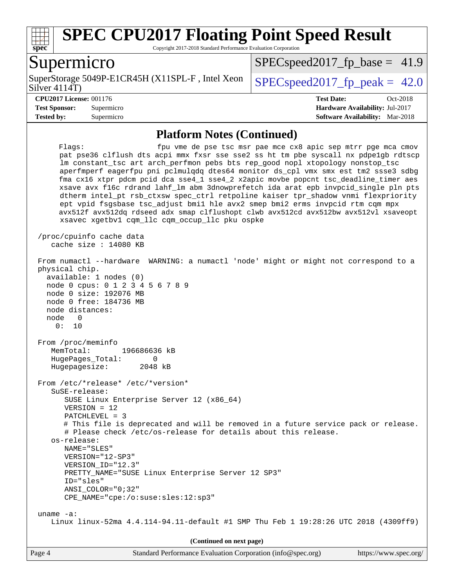

Copyright 2017-2018 Standard Performance Evaluation Corporation

### Supermicro

SuperStorage 5049P-E1CR45H (X11SPL-F, Intel Xeon  $\big|$  SPECspeed2017 fp\_peak = 42.0

 $SPECspeed2017<sub>fp</sub> base = 41.9$ 

Silver 4114T)

#### **[CPU2017 License:](http://www.spec.org/auto/cpu2017/Docs/result-fields.html#CPU2017License)** 001176 **[Test Date:](http://www.spec.org/auto/cpu2017/Docs/result-fields.html#TestDate)** Oct-2018

**[Test Sponsor:](http://www.spec.org/auto/cpu2017/Docs/result-fields.html#TestSponsor)** Supermicro **[Hardware Availability:](http://www.spec.org/auto/cpu2017/Docs/result-fields.html#HardwareAvailability)** Jul-2017 **[Tested by:](http://www.spec.org/auto/cpu2017/Docs/result-fields.html#Testedby)** Supermicro **[Software Availability:](http://www.spec.org/auto/cpu2017/Docs/result-fields.html#SoftwareAvailability)** Mar-2018

### **[Platform Notes \(Continued\)](http://www.spec.org/auto/cpu2017/Docs/result-fields.html#PlatformNotes)**

Flags: fpu vme de pse tsc msr pae mce cx8 apic sep mtrr pge mca cmov pat pse36 clflush dts acpi mmx fxsr sse sse2 ss ht tm pbe syscall nx pdpe1gb rdtscp lm constant\_tsc art arch\_perfmon pebs bts rep\_good nopl xtopology nonstop\_tsc aperfmperf eagerfpu pni pclmulqdq dtes64 monitor ds\_cpl vmx smx est tm2 ssse3 sdbg fma cx16 xtpr pdcm pcid dca sse4\_1 sse4\_2 x2apic movbe popcnt tsc\_deadline\_timer aes xsave avx f16c rdrand lahf\_lm abm 3dnowprefetch ida arat epb invpcid\_single pln pts dtherm intel\_pt rsb\_ctxsw spec\_ctrl retpoline kaiser tpr\_shadow vnmi flexpriority ept vpid fsgsbase tsc\_adjust bmi1 hle avx2 smep bmi2 erms invpcid rtm cqm mpx avx512f avx512dq rdseed adx smap clflushopt clwb avx512cd avx512bw avx512vl xsaveopt xsavec xgetbv1 cqm\_llc cqm\_occup\_llc pku ospke /proc/cpuinfo cache data cache size : 14080 KB From numactl --hardware WARNING: a numactl 'node' might or might not correspond to a physical chip. available: 1 nodes (0) node 0 cpus: 0 1 2 3 4 5 6 7 8 9 node 0 size: 192076 MB node 0 free: 184736 MB node distances: node 0 0: 10 From /proc/meminfo MemTotal: 196686636 kB HugePages\_Total: 0 Hugepagesize: 2048 kB From /etc/\*release\* /etc/\*version\* SuSE-release: SUSE Linux Enterprise Server 12 (x86\_64) VERSION = 12 PATCHLEVEL = 3 # This file is deprecated and will be removed in a future service pack or release. # Please check /etc/os-release for details about this release. os-release: NAME="SLES" VERSION="12-SP3" VERSION\_ID="12.3" PRETTY\_NAME="SUSE Linux Enterprise Server 12 SP3" ID="sles" ANSI\_COLOR="0;32" CPE\_NAME="cpe:/o:suse:sles:12:sp3" uname -a: Linux linux-52ma 4.4.114-94.11-default #1 SMP Thu Feb 1 19:28:26 UTC 2018 (4309ff9) **(Continued on next page)**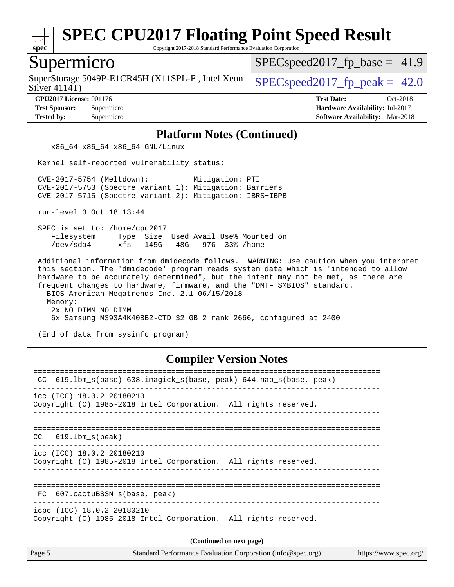

Copyright 2017-2018 Standard Performance Evaluation Corporation

### Supermicro

SuperStorage 5049P-E1CR45H (X11SPL-F, Intel Xeon  $\big|$  SPECspeed2017 fp\_peak = 42.0

 $SPECspeed2017<sub>fp</sub> base = 41.9$ 

Silver 4114T)

**[CPU2017 License:](http://www.spec.org/auto/cpu2017/Docs/result-fields.html#CPU2017License)** 001176 **[Test Date:](http://www.spec.org/auto/cpu2017/Docs/result-fields.html#TestDate)** Oct-2018 **[Test Sponsor:](http://www.spec.org/auto/cpu2017/Docs/result-fields.html#TestSponsor)** Supermicro **[Hardware Availability:](http://www.spec.org/auto/cpu2017/Docs/result-fields.html#HardwareAvailability)** Jul-2017 **[Tested by:](http://www.spec.org/auto/cpu2017/Docs/result-fields.html#Testedby)** Supermicro **[Software Availability:](http://www.spec.org/auto/cpu2017/Docs/result-fields.html#SoftwareAvailability)** Mar-2018

#### **[Platform Notes \(Continued\)](http://www.spec.org/auto/cpu2017/Docs/result-fields.html#PlatformNotes)**

x86\_64 x86\_64 x86\_64 GNU/Linux

Kernel self-reported vulnerability status:

 CVE-2017-5754 (Meltdown): Mitigation: PTI CVE-2017-5753 (Spectre variant 1): Mitigation: Barriers CVE-2017-5715 (Spectre variant 2): Mitigation: IBRS+IBPB

run-level 3 Oct 18 13:44

 SPEC is set to: /home/cpu2017 Filesystem Type Size Used Avail Use% Mounted on /dev/sda4 xfs 145G 48G 97G 33% /home

 Additional information from dmidecode follows. WARNING: Use caution when you interpret this section. The 'dmidecode' program reads system data which is "intended to allow hardware to be accurately determined", but the intent may not be met, as there are frequent changes to hardware, firmware, and the "DMTF SMBIOS" standard. BIOS American Megatrends Inc. 2.1 06/15/2018 Memory: 2x NO DIMM NO DIMM 6x Samsung M393A4K40BB2-CTD 32 GB 2 rank 2666, configured at 2400

(End of data from sysinfo program)

### **[Compiler Version Notes](http://www.spec.org/auto/cpu2017/Docs/result-fields.html#CompilerVersionNotes)**

| 619.1bm_s(base) 638.imagick_s(base, peak) 644.nab_s(base, peak)<br>CC.                        |
|-----------------------------------------------------------------------------------------------|
| icc (ICC) 18.0.2 20180210<br>Copyright (C) 1985-2018 Intel Corporation. All rights reserved.  |
| $CC$ 619.1bm $s$ (peak)                                                                       |
| icc (ICC) 18.0.2 20180210<br>Copyright (C) 1985-2018 Intel Corporation. All rights reserved.  |
| ==================================<br>FC 607.cactuBSSN s(base, peak)                          |
| icpc (ICC) 18.0.2 20180210<br>Copyright (C) 1985-2018 Intel Corporation. All rights reserved. |
| (Continued on next page)                                                                      |
|                                                                                               |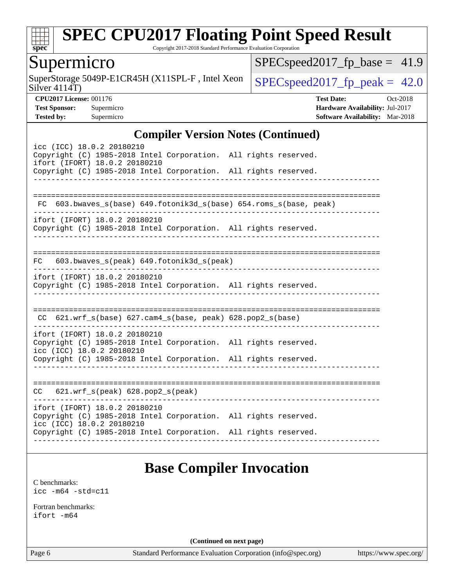

Copyright 2017-2018 Standard Performance Evaluation Corporation

### Supermicro

Silver 4114T) SuperStorage 5049P-E1CR45H (X11SPL-F, Intel Xeon  $\big|$  [SPECspeed2017\\_fp\\_peak =](http://www.spec.org/auto/cpu2017/Docs/result-fields.html#SPECspeed2017fppeak) 42.0

 $SPEC speed2017_fp\_base = 41.9$ 

**[CPU2017 License:](http://www.spec.org/auto/cpu2017/Docs/result-fields.html#CPU2017License)** 001176 **[Test Date:](http://www.spec.org/auto/cpu2017/Docs/result-fields.html#TestDate)** Oct-2018 **[Test Sponsor:](http://www.spec.org/auto/cpu2017/Docs/result-fields.html#TestSponsor)** Supermicro **[Hardware Availability:](http://www.spec.org/auto/cpu2017/Docs/result-fields.html#HardwareAvailability)** Jul-2017 **[Tested by:](http://www.spec.org/auto/cpu2017/Docs/result-fields.html#Testedby)** Supermicro **[Software Availability:](http://www.spec.org/auto/cpu2017/Docs/result-fields.html#SoftwareAvailability)** Mar-2018

### **[Compiler Version Notes \(Continued\)](http://www.spec.org/auto/cpu2017/Docs/result-fields.html#CompilerVersionNotes)**

| icc (ICC) 18.0.2 20180210<br>Copyright (C) 1985-2018 Intel Corporation. All rights reserved.<br>ifort (IFORT) 18.0.2 20180210<br>Copyright (C) 1985-2018 Intel Corporation. All rights reserved. | $\frac{1}{2}$                                                   |
|--------------------------------------------------------------------------------------------------------------------------------------------------------------------------------------------------|-----------------------------------------------------------------|
| FC.                                                                                                                                                                                              |                                                                 |
|                                                                                                                                                                                                  | 603.bwaves_s(base) 649.fotonik3d_s(base) 654.roms_s(base, peak) |
| ifort (IFORT) 18.0.2 20180210<br>Copyright (C) 1985-2018 Intel Corporation. All rights reserved.                                                                                                 | ----------------------                                          |
| FC 603.bwaves_s(peak) 649.fotonik3d_s(peak)                                                                                                                                                      |                                                                 |
| ifort (IFORT) 18.0.2 20180210<br>Copyright (C) 1985-2018 Intel Corporation. All rights reserved.                                                                                                 |                                                                 |
|                                                                                                                                                                                                  |                                                                 |
| $CC$ 621.wrf_s(base) 627.cam4_s(base, peak) 628.pop2_s(base)                                                                                                                                     |                                                                 |
| ifort (IFORT) 18.0.2 20180210<br>Copyright (C) 1985-2018 Intel Corporation. All rights reserved.<br>icc (ICC) 18.0.2 20180210<br>Copyright (C) 1985-2018 Intel Corporation. All rights reserved. | _________________________________                               |
| $CC$ 621.wrf_s(peak) 628.pop2_s(peak)                                                                                                                                                            | - - - - - - - - -                                               |
| ifort (IFORT) 18.0.2 20180210<br>Copyright (C) 1985-2018 Intel Corporation. All rights reserved.<br>icc (ICC) 18.0.2 20180210                                                                    |                                                                 |
| Copyright (C) 1985-2018 Intel Corporation. All rights reserved.                                                                                                                                  |                                                                 |

### **[Base Compiler Invocation](http://www.spec.org/auto/cpu2017/Docs/result-fields.html#BaseCompilerInvocation)**

[C benchmarks](http://www.spec.org/auto/cpu2017/Docs/result-fields.html#Cbenchmarks): [icc -m64 -std=c11](http://www.spec.org/cpu2017/results/res2018q4/cpu2017-20181029-09409.flags.html#user_CCbase_intel_icc_64bit_c11_33ee0cdaae7deeeab2a9725423ba97205ce30f63b9926c2519791662299b76a0318f32ddfffdc46587804de3178b4f9328c46fa7c2b0cd779d7a61945c91cd35)

[Fortran benchmarks](http://www.spec.org/auto/cpu2017/Docs/result-fields.html#Fortranbenchmarks): [ifort -m64](http://www.spec.org/cpu2017/results/res2018q4/cpu2017-20181029-09409.flags.html#user_FCbase_intel_ifort_64bit_24f2bb282fbaeffd6157abe4f878425411749daecae9a33200eee2bee2fe76f3b89351d69a8130dd5949958ce389cf37ff59a95e7a40d588e8d3a57e0c3fd751)

**(Continued on next page)**

Page 6 Standard Performance Evaluation Corporation [\(info@spec.org\)](mailto:info@spec.org) <https://www.spec.org/>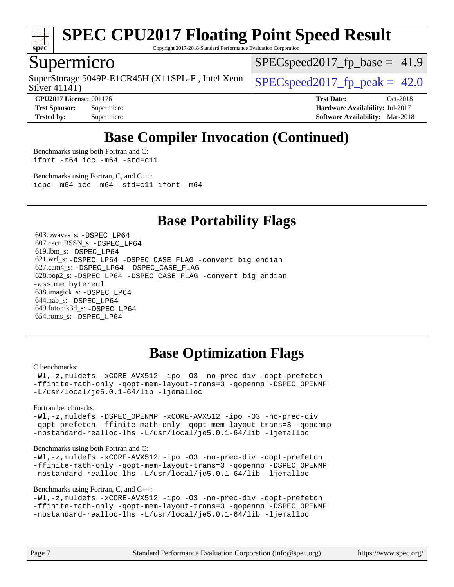

Copyright 2017-2018 Standard Performance Evaluation Corporation

### Supermicro

Silver 4114T) SuperStorage 5049P-E1CR45H (X11SPL-F, Intel Xeon  $\big|$  SPECspeed2017 fp\_peak = 42.0

 $SPECspeed2017<sub>fp</sub> base = 41.9$ 

**[Tested by:](http://www.spec.org/auto/cpu2017/Docs/result-fields.html#Testedby)** Supermicro **[Software Availability:](http://www.spec.org/auto/cpu2017/Docs/result-fields.html#SoftwareAvailability)** Mar-2018

**[CPU2017 License:](http://www.spec.org/auto/cpu2017/Docs/result-fields.html#CPU2017License)** 001176 **[Test Date:](http://www.spec.org/auto/cpu2017/Docs/result-fields.html#TestDate)** Oct-2018 **[Test Sponsor:](http://www.spec.org/auto/cpu2017/Docs/result-fields.html#TestSponsor)** Supermicro **[Hardware Availability:](http://www.spec.org/auto/cpu2017/Docs/result-fields.html#HardwareAvailability)** Jul-2017

### **[Base Compiler Invocation \(Continued\)](http://www.spec.org/auto/cpu2017/Docs/result-fields.html#BaseCompilerInvocation)**

[Benchmarks using both Fortran and C](http://www.spec.org/auto/cpu2017/Docs/result-fields.html#BenchmarksusingbothFortranandC): [ifort -m64](http://www.spec.org/cpu2017/results/res2018q4/cpu2017-20181029-09409.flags.html#user_CC_FCbase_intel_ifort_64bit_24f2bb282fbaeffd6157abe4f878425411749daecae9a33200eee2bee2fe76f3b89351d69a8130dd5949958ce389cf37ff59a95e7a40d588e8d3a57e0c3fd751) [icc -m64 -std=c11](http://www.spec.org/cpu2017/results/res2018q4/cpu2017-20181029-09409.flags.html#user_CC_FCbase_intel_icc_64bit_c11_33ee0cdaae7deeeab2a9725423ba97205ce30f63b9926c2519791662299b76a0318f32ddfffdc46587804de3178b4f9328c46fa7c2b0cd779d7a61945c91cd35)

[Benchmarks using Fortran, C, and C++:](http://www.spec.org/auto/cpu2017/Docs/result-fields.html#BenchmarksusingFortranCandCXX) [icpc -m64](http://www.spec.org/cpu2017/results/res2018q4/cpu2017-20181029-09409.flags.html#user_CC_CXX_FCbase_intel_icpc_64bit_4ecb2543ae3f1412ef961e0650ca070fec7b7afdcd6ed48761b84423119d1bf6bdf5cad15b44d48e7256388bc77273b966e5eb805aefd121eb22e9299b2ec9d9) [icc -m64 -std=c11](http://www.spec.org/cpu2017/results/res2018q4/cpu2017-20181029-09409.flags.html#user_CC_CXX_FCbase_intel_icc_64bit_c11_33ee0cdaae7deeeab2a9725423ba97205ce30f63b9926c2519791662299b76a0318f32ddfffdc46587804de3178b4f9328c46fa7c2b0cd779d7a61945c91cd35) [ifort -m64](http://www.spec.org/cpu2017/results/res2018q4/cpu2017-20181029-09409.flags.html#user_CC_CXX_FCbase_intel_ifort_64bit_24f2bb282fbaeffd6157abe4f878425411749daecae9a33200eee2bee2fe76f3b89351d69a8130dd5949958ce389cf37ff59a95e7a40d588e8d3a57e0c3fd751)

### **[Base Portability Flags](http://www.spec.org/auto/cpu2017/Docs/result-fields.html#BasePortabilityFlags)**

 603.bwaves\_s: [-DSPEC\\_LP64](http://www.spec.org/cpu2017/results/res2018q4/cpu2017-20181029-09409.flags.html#suite_basePORTABILITY603_bwaves_s_DSPEC_LP64) 607.cactuBSSN\_s: [-DSPEC\\_LP64](http://www.spec.org/cpu2017/results/res2018q4/cpu2017-20181029-09409.flags.html#suite_basePORTABILITY607_cactuBSSN_s_DSPEC_LP64) 619.lbm\_s: [-DSPEC\\_LP64](http://www.spec.org/cpu2017/results/res2018q4/cpu2017-20181029-09409.flags.html#suite_basePORTABILITY619_lbm_s_DSPEC_LP64) 621.wrf\_s: [-DSPEC\\_LP64](http://www.spec.org/cpu2017/results/res2018q4/cpu2017-20181029-09409.flags.html#suite_basePORTABILITY621_wrf_s_DSPEC_LP64) [-DSPEC\\_CASE\\_FLAG](http://www.spec.org/cpu2017/results/res2018q4/cpu2017-20181029-09409.flags.html#b621.wrf_s_baseCPORTABILITY_DSPEC_CASE_FLAG) [-convert big\\_endian](http://www.spec.org/cpu2017/results/res2018q4/cpu2017-20181029-09409.flags.html#user_baseFPORTABILITY621_wrf_s_convert_big_endian_c3194028bc08c63ac5d04de18c48ce6d347e4e562e8892b8bdbdc0214820426deb8554edfa529a3fb25a586e65a3d812c835984020483e7e73212c4d31a38223) 627.cam4\_s: [-DSPEC\\_LP64](http://www.spec.org/cpu2017/results/res2018q4/cpu2017-20181029-09409.flags.html#suite_basePORTABILITY627_cam4_s_DSPEC_LP64) [-DSPEC\\_CASE\\_FLAG](http://www.spec.org/cpu2017/results/res2018q4/cpu2017-20181029-09409.flags.html#b627.cam4_s_baseCPORTABILITY_DSPEC_CASE_FLAG) 628.pop2\_s: [-DSPEC\\_LP64](http://www.spec.org/cpu2017/results/res2018q4/cpu2017-20181029-09409.flags.html#suite_basePORTABILITY628_pop2_s_DSPEC_LP64) [-DSPEC\\_CASE\\_FLAG](http://www.spec.org/cpu2017/results/res2018q4/cpu2017-20181029-09409.flags.html#b628.pop2_s_baseCPORTABILITY_DSPEC_CASE_FLAG) [-convert big\\_endian](http://www.spec.org/cpu2017/results/res2018q4/cpu2017-20181029-09409.flags.html#user_baseFPORTABILITY628_pop2_s_convert_big_endian_c3194028bc08c63ac5d04de18c48ce6d347e4e562e8892b8bdbdc0214820426deb8554edfa529a3fb25a586e65a3d812c835984020483e7e73212c4d31a38223) [-assume byterecl](http://www.spec.org/cpu2017/results/res2018q4/cpu2017-20181029-09409.flags.html#user_baseFPORTABILITY628_pop2_s_assume_byterecl_7e47d18b9513cf18525430bbf0f2177aa9bf368bc7a059c09b2c06a34b53bd3447c950d3f8d6c70e3faf3a05c8557d66a5798b567902e8849adc142926523472) 638.imagick\_s: [-DSPEC\\_LP64](http://www.spec.org/cpu2017/results/res2018q4/cpu2017-20181029-09409.flags.html#suite_basePORTABILITY638_imagick_s_DSPEC_LP64) 644.nab\_s: [-DSPEC\\_LP64](http://www.spec.org/cpu2017/results/res2018q4/cpu2017-20181029-09409.flags.html#suite_basePORTABILITY644_nab_s_DSPEC_LP64) 649.fotonik3d\_s: [-DSPEC\\_LP64](http://www.spec.org/cpu2017/results/res2018q4/cpu2017-20181029-09409.flags.html#suite_basePORTABILITY649_fotonik3d_s_DSPEC_LP64) 654.roms\_s: [-DSPEC\\_LP64](http://www.spec.org/cpu2017/results/res2018q4/cpu2017-20181029-09409.flags.html#suite_basePORTABILITY654_roms_s_DSPEC_LP64)

### **[Base Optimization Flags](http://www.spec.org/auto/cpu2017/Docs/result-fields.html#BaseOptimizationFlags)**

#### [C benchmarks](http://www.spec.org/auto/cpu2017/Docs/result-fields.html#Cbenchmarks):

[-Wl,-z,muldefs](http://www.spec.org/cpu2017/results/res2018q4/cpu2017-20181029-09409.flags.html#user_CCbase_link_force_multiple1_b4cbdb97b34bdee9ceefcfe54f4c8ea74255f0b02a4b23e853cdb0e18eb4525ac79b5a88067c842dd0ee6996c24547a27a4b99331201badda8798ef8a743f577) [-xCORE-AVX512](http://www.spec.org/cpu2017/results/res2018q4/cpu2017-20181029-09409.flags.html#user_CCbase_f-xCORE-AVX512) [-ipo](http://www.spec.org/cpu2017/results/res2018q4/cpu2017-20181029-09409.flags.html#user_CCbase_f-ipo) [-O3](http://www.spec.org/cpu2017/results/res2018q4/cpu2017-20181029-09409.flags.html#user_CCbase_f-O3) [-no-prec-div](http://www.spec.org/cpu2017/results/res2018q4/cpu2017-20181029-09409.flags.html#user_CCbase_f-no-prec-div) [-qopt-prefetch](http://www.spec.org/cpu2017/results/res2018q4/cpu2017-20181029-09409.flags.html#user_CCbase_f-qopt-prefetch) [-ffinite-math-only](http://www.spec.org/cpu2017/results/res2018q4/cpu2017-20181029-09409.flags.html#user_CCbase_f_finite_math_only_cb91587bd2077682c4b38af759c288ed7c732db004271a9512da14a4f8007909a5f1427ecbf1a0fb78ff2a814402c6114ac565ca162485bbcae155b5e4258871) [-qopt-mem-layout-trans=3](http://www.spec.org/cpu2017/results/res2018q4/cpu2017-20181029-09409.flags.html#user_CCbase_f-qopt-mem-layout-trans_de80db37974c74b1f0e20d883f0b675c88c3b01e9d123adea9b28688d64333345fb62bc4a798493513fdb68f60282f9a726aa07f478b2f7113531aecce732043) [-qopenmp](http://www.spec.org/cpu2017/results/res2018q4/cpu2017-20181029-09409.flags.html#user_CCbase_qopenmp_16be0c44f24f464004c6784a7acb94aca937f053568ce72f94b139a11c7c168634a55f6653758ddd83bcf7b8463e8028bb0b48b77bcddc6b78d5d95bb1df2967) [-DSPEC\\_OPENMP](http://www.spec.org/cpu2017/results/res2018q4/cpu2017-20181029-09409.flags.html#suite_CCbase_DSPEC_OPENMP) [-L/usr/local/je5.0.1-64/lib](http://www.spec.org/cpu2017/results/res2018q4/cpu2017-20181029-09409.flags.html#user_CCbase_jemalloc_link_path64_4b10a636b7bce113509b17f3bd0d6226c5fb2346b9178c2d0232c14f04ab830f976640479e5c33dc2bcbbdad86ecfb6634cbbd4418746f06f368b512fced5394) [-ljemalloc](http://www.spec.org/cpu2017/results/res2018q4/cpu2017-20181029-09409.flags.html#user_CCbase_jemalloc_link_lib_d1249b907c500fa1c0672f44f562e3d0f79738ae9e3c4a9c376d49f265a04b9c99b167ecedbf6711b3085be911c67ff61f150a17b3472be731631ba4d0471706)

[Fortran benchmarks](http://www.spec.org/auto/cpu2017/Docs/result-fields.html#Fortranbenchmarks):

[-Wl,-z,muldefs](http://www.spec.org/cpu2017/results/res2018q4/cpu2017-20181029-09409.flags.html#user_FCbase_link_force_multiple1_b4cbdb97b34bdee9ceefcfe54f4c8ea74255f0b02a4b23e853cdb0e18eb4525ac79b5a88067c842dd0ee6996c24547a27a4b99331201badda8798ef8a743f577) [-DSPEC\\_OPENMP](http://www.spec.org/cpu2017/results/res2018q4/cpu2017-20181029-09409.flags.html#suite_FCbase_DSPEC_OPENMP) [-xCORE-AVX512](http://www.spec.org/cpu2017/results/res2018q4/cpu2017-20181029-09409.flags.html#user_FCbase_f-xCORE-AVX512) [-ipo](http://www.spec.org/cpu2017/results/res2018q4/cpu2017-20181029-09409.flags.html#user_FCbase_f-ipo) [-O3](http://www.spec.org/cpu2017/results/res2018q4/cpu2017-20181029-09409.flags.html#user_FCbase_f-O3) [-no-prec-div](http://www.spec.org/cpu2017/results/res2018q4/cpu2017-20181029-09409.flags.html#user_FCbase_f-no-prec-div) [-qopt-prefetch](http://www.spec.org/cpu2017/results/res2018q4/cpu2017-20181029-09409.flags.html#user_FCbase_f-qopt-prefetch) [-ffinite-math-only](http://www.spec.org/cpu2017/results/res2018q4/cpu2017-20181029-09409.flags.html#user_FCbase_f_finite_math_only_cb91587bd2077682c4b38af759c288ed7c732db004271a9512da14a4f8007909a5f1427ecbf1a0fb78ff2a814402c6114ac565ca162485bbcae155b5e4258871) [-qopt-mem-layout-trans=3](http://www.spec.org/cpu2017/results/res2018q4/cpu2017-20181029-09409.flags.html#user_FCbase_f-qopt-mem-layout-trans_de80db37974c74b1f0e20d883f0b675c88c3b01e9d123adea9b28688d64333345fb62bc4a798493513fdb68f60282f9a726aa07f478b2f7113531aecce732043) [-qopenmp](http://www.spec.org/cpu2017/results/res2018q4/cpu2017-20181029-09409.flags.html#user_FCbase_qopenmp_16be0c44f24f464004c6784a7acb94aca937f053568ce72f94b139a11c7c168634a55f6653758ddd83bcf7b8463e8028bb0b48b77bcddc6b78d5d95bb1df2967) [-nostandard-realloc-lhs](http://www.spec.org/cpu2017/results/res2018q4/cpu2017-20181029-09409.flags.html#user_FCbase_f_2003_std_realloc_82b4557e90729c0f113870c07e44d33d6f5a304b4f63d4c15d2d0f1fab99f5daaed73bdb9275d9ae411527f28b936061aa8b9c8f2d63842963b95c9dd6426b8a) [-L/usr/local/je5.0.1-64/lib](http://www.spec.org/cpu2017/results/res2018q4/cpu2017-20181029-09409.flags.html#user_FCbase_jemalloc_link_path64_4b10a636b7bce113509b17f3bd0d6226c5fb2346b9178c2d0232c14f04ab830f976640479e5c33dc2bcbbdad86ecfb6634cbbd4418746f06f368b512fced5394) [-ljemalloc](http://www.spec.org/cpu2017/results/res2018q4/cpu2017-20181029-09409.flags.html#user_FCbase_jemalloc_link_lib_d1249b907c500fa1c0672f44f562e3d0f79738ae9e3c4a9c376d49f265a04b9c99b167ecedbf6711b3085be911c67ff61f150a17b3472be731631ba4d0471706)

#### [Benchmarks using both Fortran and C](http://www.spec.org/auto/cpu2017/Docs/result-fields.html#BenchmarksusingbothFortranandC):

[-Wl,-z,muldefs](http://www.spec.org/cpu2017/results/res2018q4/cpu2017-20181029-09409.flags.html#user_CC_FCbase_link_force_multiple1_b4cbdb97b34bdee9ceefcfe54f4c8ea74255f0b02a4b23e853cdb0e18eb4525ac79b5a88067c842dd0ee6996c24547a27a4b99331201badda8798ef8a743f577) [-xCORE-AVX512](http://www.spec.org/cpu2017/results/res2018q4/cpu2017-20181029-09409.flags.html#user_CC_FCbase_f-xCORE-AVX512) [-ipo](http://www.spec.org/cpu2017/results/res2018q4/cpu2017-20181029-09409.flags.html#user_CC_FCbase_f-ipo) [-O3](http://www.spec.org/cpu2017/results/res2018q4/cpu2017-20181029-09409.flags.html#user_CC_FCbase_f-O3) [-no-prec-div](http://www.spec.org/cpu2017/results/res2018q4/cpu2017-20181029-09409.flags.html#user_CC_FCbase_f-no-prec-div) [-qopt-prefetch](http://www.spec.org/cpu2017/results/res2018q4/cpu2017-20181029-09409.flags.html#user_CC_FCbase_f-qopt-prefetch) [-ffinite-math-only](http://www.spec.org/cpu2017/results/res2018q4/cpu2017-20181029-09409.flags.html#user_CC_FCbase_f_finite_math_only_cb91587bd2077682c4b38af759c288ed7c732db004271a9512da14a4f8007909a5f1427ecbf1a0fb78ff2a814402c6114ac565ca162485bbcae155b5e4258871) [-qopt-mem-layout-trans=3](http://www.spec.org/cpu2017/results/res2018q4/cpu2017-20181029-09409.flags.html#user_CC_FCbase_f-qopt-mem-layout-trans_de80db37974c74b1f0e20d883f0b675c88c3b01e9d123adea9b28688d64333345fb62bc4a798493513fdb68f60282f9a726aa07f478b2f7113531aecce732043) [-qopenmp](http://www.spec.org/cpu2017/results/res2018q4/cpu2017-20181029-09409.flags.html#user_CC_FCbase_qopenmp_16be0c44f24f464004c6784a7acb94aca937f053568ce72f94b139a11c7c168634a55f6653758ddd83bcf7b8463e8028bb0b48b77bcddc6b78d5d95bb1df2967) [-DSPEC\\_OPENMP](http://www.spec.org/cpu2017/results/res2018q4/cpu2017-20181029-09409.flags.html#suite_CC_FCbase_DSPEC_OPENMP) [-nostandard-realloc-lhs](http://www.spec.org/cpu2017/results/res2018q4/cpu2017-20181029-09409.flags.html#user_CC_FCbase_f_2003_std_realloc_82b4557e90729c0f113870c07e44d33d6f5a304b4f63d4c15d2d0f1fab99f5daaed73bdb9275d9ae411527f28b936061aa8b9c8f2d63842963b95c9dd6426b8a) [-L/usr/local/je5.0.1-64/lib](http://www.spec.org/cpu2017/results/res2018q4/cpu2017-20181029-09409.flags.html#user_CC_FCbase_jemalloc_link_path64_4b10a636b7bce113509b17f3bd0d6226c5fb2346b9178c2d0232c14f04ab830f976640479e5c33dc2bcbbdad86ecfb6634cbbd4418746f06f368b512fced5394) [-ljemalloc](http://www.spec.org/cpu2017/results/res2018q4/cpu2017-20181029-09409.flags.html#user_CC_FCbase_jemalloc_link_lib_d1249b907c500fa1c0672f44f562e3d0f79738ae9e3c4a9c376d49f265a04b9c99b167ecedbf6711b3085be911c67ff61f150a17b3472be731631ba4d0471706)

#### [Benchmarks using Fortran, C, and C++:](http://www.spec.org/auto/cpu2017/Docs/result-fields.html#BenchmarksusingFortranCandCXX)

```
-Wl,-z,muldefs -xCORE-AVX512 -ipo -O3 -no-prec-div -qopt-prefetch
-ffinite-math-only -qopt-mem-layout-trans=3 -qopenmp -DSPEC_OPENMP
-nostandard-realloc-lhs -L/usr/local/je5.0.1-64/lib -ljemalloc
```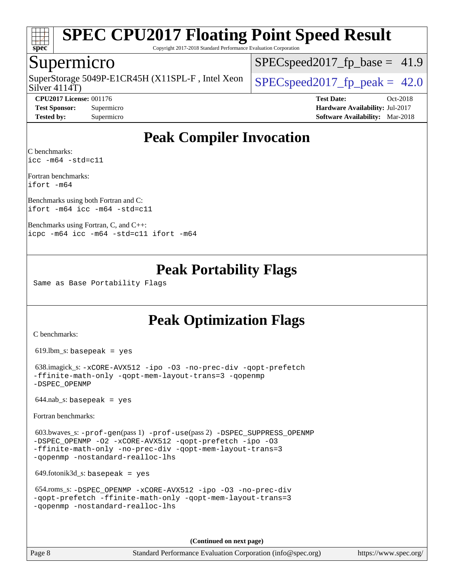

Copyright 2017-2018 Standard Performance Evaluation Corporation

### Supermicro

Silver 4114T) SuperStorage 5049P-E1CR45H (X11SPL-F, Intel Xeon  $\big|$  [SPECspeed2017\\_fp\\_peak =](http://www.spec.org/auto/cpu2017/Docs/result-fields.html#SPECspeed2017fppeak) 42.0

 $SPECspeed2017<sub>fp</sub> base = 41.9$ 

**[CPU2017 License:](http://www.spec.org/auto/cpu2017/Docs/result-fields.html#CPU2017License)** 001176 **[Test Date:](http://www.spec.org/auto/cpu2017/Docs/result-fields.html#TestDate)** Oct-2018 **[Test Sponsor:](http://www.spec.org/auto/cpu2017/Docs/result-fields.html#TestSponsor)** Supermicro **[Hardware Availability:](http://www.spec.org/auto/cpu2017/Docs/result-fields.html#HardwareAvailability)** Jul-2017 **[Tested by:](http://www.spec.org/auto/cpu2017/Docs/result-fields.html#Testedby)** Supermicro **[Software Availability:](http://www.spec.org/auto/cpu2017/Docs/result-fields.html#SoftwareAvailability)** Mar-2018

### **[Peak Compiler Invocation](http://www.spec.org/auto/cpu2017/Docs/result-fields.html#PeakCompilerInvocation)**

[C benchmarks](http://www.spec.org/auto/cpu2017/Docs/result-fields.html#Cbenchmarks): [icc -m64 -std=c11](http://www.spec.org/cpu2017/results/res2018q4/cpu2017-20181029-09409.flags.html#user_CCpeak_intel_icc_64bit_c11_33ee0cdaae7deeeab2a9725423ba97205ce30f63b9926c2519791662299b76a0318f32ddfffdc46587804de3178b4f9328c46fa7c2b0cd779d7a61945c91cd35)

[Fortran benchmarks:](http://www.spec.org/auto/cpu2017/Docs/result-fields.html#Fortranbenchmarks) [ifort -m64](http://www.spec.org/cpu2017/results/res2018q4/cpu2017-20181029-09409.flags.html#user_FCpeak_intel_ifort_64bit_24f2bb282fbaeffd6157abe4f878425411749daecae9a33200eee2bee2fe76f3b89351d69a8130dd5949958ce389cf37ff59a95e7a40d588e8d3a57e0c3fd751)

[Benchmarks using both Fortran and C](http://www.spec.org/auto/cpu2017/Docs/result-fields.html#BenchmarksusingbothFortranandC): [ifort -m64](http://www.spec.org/cpu2017/results/res2018q4/cpu2017-20181029-09409.flags.html#user_CC_FCpeak_intel_ifort_64bit_24f2bb282fbaeffd6157abe4f878425411749daecae9a33200eee2bee2fe76f3b89351d69a8130dd5949958ce389cf37ff59a95e7a40d588e8d3a57e0c3fd751) [icc -m64 -std=c11](http://www.spec.org/cpu2017/results/res2018q4/cpu2017-20181029-09409.flags.html#user_CC_FCpeak_intel_icc_64bit_c11_33ee0cdaae7deeeab2a9725423ba97205ce30f63b9926c2519791662299b76a0318f32ddfffdc46587804de3178b4f9328c46fa7c2b0cd779d7a61945c91cd35)

[Benchmarks using Fortran, C, and C++](http://www.spec.org/auto/cpu2017/Docs/result-fields.html#BenchmarksusingFortranCandCXX): [icpc -m64](http://www.spec.org/cpu2017/results/res2018q4/cpu2017-20181029-09409.flags.html#user_CC_CXX_FCpeak_intel_icpc_64bit_4ecb2543ae3f1412ef961e0650ca070fec7b7afdcd6ed48761b84423119d1bf6bdf5cad15b44d48e7256388bc77273b966e5eb805aefd121eb22e9299b2ec9d9) [icc -m64 -std=c11](http://www.spec.org/cpu2017/results/res2018q4/cpu2017-20181029-09409.flags.html#user_CC_CXX_FCpeak_intel_icc_64bit_c11_33ee0cdaae7deeeab2a9725423ba97205ce30f63b9926c2519791662299b76a0318f32ddfffdc46587804de3178b4f9328c46fa7c2b0cd779d7a61945c91cd35) [ifort -m64](http://www.spec.org/cpu2017/results/res2018q4/cpu2017-20181029-09409.flags.html#user_CC_CXX_FCpeak_intel_ifort_64bit_24f2bb282fbaeffd6157abe4f878425411749daecae9a33200eee2bee2fe76f3b89351d69a8130dd5949958ce389cf37ff59a95e7a40d588e8d3a57e0c3fd751)

### **[Peak Portability Flags](http://www.spec.org/auto/cpu2017/Docs/result-fields.html#PeakPortabilityFlags)**

Same as Base Portability Flags

### **[Peak Optimization Flags](http://www.spec.org/auto/cpu2017/Docs/result-fields.html#PeakOptimizationFlags)**

[C benchmarks](http://www.spec.org/auto/cpu2017/Docs/result-fields.html#Cbenchmarks):

619.lbm\_s: basepeak = yes

```
 638.imagick_s: -xCORE-AVX512 -ipo -O3 -no-prec-div -qopt-prefetch
-ffinite-math-only -qopt-mem-layout-trans=3 -qopenmp
-DSPEC_OPENMP
```
 $644.nab$ <sub>S</sub>: basepeak = yes

[Fortran benchmarks](http://www.spec.org/auto/cpu2017/Docs/result-fields.html#Fortranbenchmarks):

 603.bwaves\_s: [-prof-gen](http://www.spec.org/cpu2017/results/res2018q4/cpu2017-20181029-09409.flags.html#user_peakPASS1_FFLAGSPASS1_LDFLAGS603_bwaves_s_prof_gen_5aa4926d6013ddb2a31985c654b3eb18169fc0c6952a63635c234f711e6e63dd76e94ad52365559451ec499a2cdb89e4dc58ba4c67ef54ca681ffbe1461d6b36)(pass 1) [-prof-use](http://www.spec.org/cpu2017/results/res2018q4/cpu2017-20181029-09409.flags.html#user_peakPASS2_FFLAGSPASS2_LDFLAGS603_bwaves_s_prof_use_1a21ceae95f36a2b53c25747139a6c16ca95bd9def2a207b4f0849963b97e94f5260e30a0c64f4bb623698870e679ca08317ef8150905d41bd88c6f78df73f19)(pass 2) [-DSPEC\\_SUPPRESS\\_OPENMP](http://www.spec.org/cpu2017/results/res2018q4/cpu2017-20181029-09409.flags.html#suite_peakPASS1_FOPTIMIZE603_bwaves_s_DSPEC_SUPPRESS_OPENMP) [-DSPEC\\_OPENMP](http://www.spec.org/cpu2017/results/res2018q4/cpu2017-20181029-09409.flags.html#suite_peakPASS2_FOPTIMIZE603_bwaves_s_DSPEC_OPENMP) [-O2](http://www.spec.org/cpu2017/results/res2018q4/cpu2017-20181029-09409.flags.html#user_peakPASS1_FOPTIMIZE603_bwaves_s_f-O2) [-xCORE-AVX512](http://www.spec.org/cpu2017/results/res2018q4/cpu2017-20181029-09409.flags.html#user_peakPASS2_FOPTIMIZE603_bwaves_s_f-xCORE-AVX512) [-qopt-prefetch](http://www.spec.org/cpu2017/results/res2018q4/cpu2017-20181029-09409.flags.html#user_peakPASS1_FOPTIMIZEPASS2_FOPTIMIZE603_bwaves_s_f-qopt-prefetch) [-ipo](http://www.spec.org/cpu2017/results/res2018q4/cpu2017-20181029-09409.flags.html#user_peakPASS2_FOPTIMIZE603_bwaves_s_f-ipo) [-O3](http://www.spec.org/cpu2017/results/res2018q4/cpu2017-20181029-09409.flags.html#user_peakPASS2_FOPTIMIZE603_bwaves_s_f-O3) [-ffinite-math-only](http://www.spec.org/cpu2017/results/res2018q4/cpu2017-20181029-09409.flags.html#user_peakPASS1_FOPTIMIZEPASS2_FOPTIMIZE603_bwaves_s_f_finite_math_only_cb91587bd2077682c4b38af759c288ed7c732db004271a9512da14a4f8007909a5f1427ecbf1a0fb78ff2a814402c6114ac565ca162485bbcae155b5e4258871) [-no-prec-div](http://www.spec.org/cpu2017/results/res2018q4/cpu2017-20181029-09409.flags.html#user_peakPASS2_FOPTIMIZE603_bwaves_s_f-no-prec-div) [-qopt-mem-layout-trans=3](http://www.spec.org/cpu2017/results/res2018q4/cpu2017-20181029-09409.flags.html#user_peakPASS1_FOPTIMIZEPASS2_FOPTIMIZE603_bwaves_s_f-qopt-mem-layout-trans_de80db37974c74b1f0e20d883f0b675c88c3b01e9d123adea9b28688d64333345fb62bc4a798493513fdb68f60282f9a726aa07f478b2f7113531aecce732043) [-qopenmp](http://www.spec.org/cpu2017/results/res2018q4/cpu2017-20181029-09409.flags.html#user_peakPASS2_FOPTIMIZE603_bwaves_s_qopenmp_16be0c44f24f464004c6784a7acb94aca937f053568ce72f94b139a11c7c168634a55f6653758ddd83bcf7b8463e8028bb0b48b77bcddc6b78d5d95bb1df2967) [-nostandard-realloc-lhs](http://www.spec.org/cpu2017/results/res2018q4/cpu2017-20181029-09409.flags.html#user_peakEXTRA_FOPTIMIZE603_bwaves_s_f_2003_std_realloc_82b4557e90729c0f113870c07e44d33d6f5a304b4f63d4c15d2d0f1fab99f5daaed73bdb9275d9ae411527f28b936061aa8b9c8f2d63842963b95c9dd6426b8a)

649.fotonik3d\_s: basepeak = yes

```
 654.roms_s: -DSPEC_OPENMP -xCORE-AVX512 -ipo -O3 -no-prec-div
-qopt-prefetch -ffinite-math-only -qopt-mem-layout-trans=3
-qopenmp -nostandard-realloc-lhs
```
**(Continued on next page)**